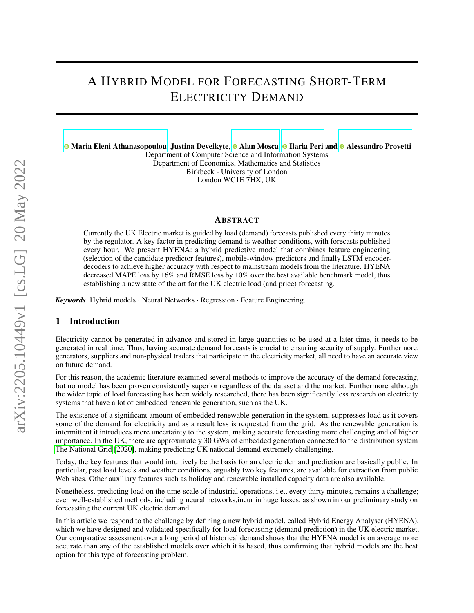# A HYBRID MODEL FOR FORECASTING SHORT-TERM ELECTRICITY DEMAND

**• [Maria Eleni Athanasopoulou,](https://orcid.org/0000-0001-8031-6360) Justina Deveikyte, • [Alan Mosca,](https://orcid.org/0000-0001-9542-4110) • [Ilaria Peri](https://orcid.org/0000-0001-8918-2389) and • [Alessandro Provetti](https://orcid.org/0000-0001-9542-4110)** 

Department of Computer Science and Information Systems Department of Economics, Mathematics and Statistics Birkbeck - University of London London WC1E 7HX, UK

#### ABSTRACT

Currently the UK Electric market is guided by load (demand) forecasts published every thirty minutes by the regulator. A key factor in predicting demand is weather conditions, with forecasts published every hour. We present HYENA: a hybrid predictive model that combines feature engineering (selection of the candidate predictor features), mobile-window predictors and finally LSTM encoderdecoders to achieve higher accuracy with respect to mainstream models from the literature. HYENA decreased MAPE loss by 16% and RMSE loss by 10% over the best available benchmark model, thus establishing a new state of the art for the UK electric load (and price) forecasting.

*Keywords* Hybrid models · Neural Networks · Regression · Feature Engineering.

#### 1 Introduction

Electricity cannot be generated in advance and stored in large quantities to be used at a later time, it needs to be generated in real time. Thus, having accurate demand forecasts is crucial to ensuring security of supply. Furthermore, generators, suppliers and non-physical traders that participate in the electricity market, all need to have an accurate view on future demand.

For this reason, the academic literature examined several methods to improve the accuracy of the demand forecasting, but no model has been proven consistently superior regardless of the dataset and the market. Furthermore although the wider topic of load forecasting has been widely researched, there has been significantly less research on electricity systems that have a lot of embedded renewable generation, such as the UK.

The existence of a significant amount of embedded renewable generation in the system, suppresses load as it covers some of the demand for electricity and as a result less is requested from the grid. As the renewable generation is intermittent it introduces more uncertainty to the system, making accurate forecasting more challenging and of higher importance. In the UK, there are approximately 30 GWs of embedded generation connected to the distribution system [The National Grid](#page-7-0) [\[2020\]](#page-7-0), making predicting UK national demand extremely challenging.

Today, the key features that would intuitively be the basis for an electric demand prediction are basically public. In particular, past load levels and weather conditions, arguably two key features, are available for extraction from public Web sites. Other auxiliary features such as holiday and renewable installed capacity data are also available.

Nonetheless, predicting load on the time-scale of industrial operations, i.e., every thirty minutes, remains a challenge; even well-established methods, including neural networks,incur in huge losses, as shown in our preliminary study on forecasting the current UK electric demand.

In this article we respond to the challenge by defining a new hybrid model, called Hybrid Energy Analyser (HYENA), which we have designed and validated specifically for load forecasting (demand prediction) in the UK electric market. Our comparative assessment over a long period of historical demand shows that the HYENA model is on average more accurate than any of the established models over which it is based, thus confirming that hybrid models are the best option for this type of forecasting problem.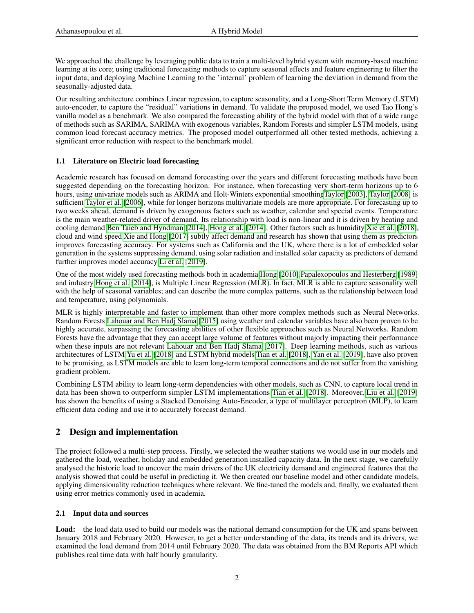We approached the challenge by leveraging public data to train a multi-level hybrid system with memory-based machine learning at its core; using traditional forecasting methods to capture seasonal effects and feature engineering to filter the input data; and deploying Machine Learning to the 'internal' problem of learning the deviation in demand from the seasonally-adjusted data.

Our resulting architecture combines Linear regression, to capture seasonality, and a Long-Short Term Memory (LSTM) auto-encoder, to capture the "residual" variations in demand. To validate the proposed model, we used Tao Hong's vanilla model as a benchmark. We also compared the forecasting ability of the hybrid model with that of a wide range of methods such as SARIMA, SARIMA with exogenous variables, Random Forests and simpler LSTM models, using common load forecast accuracy metrics. The proposed model outperformed all other tested methods, achieving a significant error reduction with respect to the benchmark model.

#### 1.1 Literature on Electric load forecasting

Academic research has focused on demand forecasting over the years and different forecasting methods have been suggested depending on the forecasting horizon. For instance, when forecasting very short-term horizons up to 6 hours, using univariate models such as ARIMA and Holt-Winters exponential smoothin[gTaylor](#page-7-1) [\[2003\]](#page-7-1), [Taylor](#page-7-2) [\[2008\]](#page-7-2) is sufficient [Taylor et al.](#page-7-3) [\[2006\]](#page-7-3), while for longer horizons multivariate models are more appropriate. For forecasting up to two weeks ahead, demand is driven by exogenous factors such as weather, calendar and special events. Temperature is the main weather-related driver of demand. Its relationship with load is non-linear and it is driven by heating and cooling demand [Ben Taieb and Hyndman](#page-7-4) [\[2014\]](#page-7-4), [Hong et al.](#page-7-5) [\[2014\]](#page-7-5). Other factors such as humidity [Xie et al.](#page-7-6) [\[2018\]](#page-7-6), cloud and wind speed [Xie and Hong](#page-7-7) [\[2017\]](#page-7-7) subtly affect demand and research has shown that using them as predictors improves forecasting accuracy. For systems such as California and the UK, where there is a lot of embedded solar generation in the systems suppressing demand, using solar radiation and installed solar capacity as predictors of demand further improves model accuracy [Li et al.](#page-7-8) [\[2019\]](#page-7-8).

One of the most widely used forecasting methods both in academia [Hong](#page-7-9) [\[2010\]](#page-7-9)[,Papalexopoulos and Hesterberg](#page-7-10) [\[1989\]](#page-7-10) and industry [Hong et al.](#page-7-5) [\[2014\]](#page-7-5), is Multiple Linear Regression (MLR). In fact, MLR is able to capture seasonality well with the help of seasonal variables; and can describe the more complex patterns, such as the relationship between load and temperature, using polynomials.

MLR is highly interpretable and faster to implement than other more complex methods such as Neural Networks. Random Forests [Lahouar and Ben Hadj Slama](#page-7-11) [\[2015\]](#page-7-11) using weather and calendar variables have also been proven to be highly accurate, surpassing the forecasting abilities of other flexible approaches such as Neural Networks. Random Forests have the advantage that they can accept large volume of features without majorly impacting their performance when these inputs are not relevant [Lahouar and Ben Hadj Slama](#page-7-12) [\[2017\]](#page-7-12). Deep learning methods, such as various architectures of LSTM [Yu et al.](#page-7-13) [\[2018\]](#page-7-13) and LSTM hybrid models [Tian et al.](#page-7-14) [\[2018\]](#page-7-14), [Yan et al.](#page-7-15) [\[2019\]](#page-7-15), have also proven to be promising, as LSTM models are able to learn long-term temporal connections and do not suffer from the vanishing gradient problem.

Combining LSTM ability to learn long-term dependencies with other models, such as CNN, to capture local trend in data has been shown to outperform simpler LSTM implementations [Tian et al.](#page-7-14) [\[2018\]](#page-7-14). Moreover, [Liu et al.](#page-7-16) [\[2019\]](#page-7-16) has shown the benefits of using a Stacked Denoising Auto-Encoder, a type of multilayer perceptron (MLP), to learn efficient data coding and use it to accurately forecast demand.

# 2 Design and implementation

The project followed a multi-step process. Firstly, we selected the weather stations we would use in our models and gathered the load, weather, holiday and embedded generation installed capacity data. In the next stage, we carefully analysed the historic load to uncover the main drivers of the UK electricity demand and engineered features that the analysis showed that could be useful in predicting it. We then created our baseline model and other candidate models, applying dimensionality reduction techniques where relevant. We fine-tuned the models and, finally, we evaluated them using error metrics commonly used in academia.

#### 2.1 Input data and sources

Load: the load data used to build our models was the national demand consumption for the UK and spans between January 2018 and February 2020. However, to get a better understanding of the data, its trends and its drivers, we examined the load demand from 2014 until February 2020. The data was obtained from the BM Reports API which publishes real time data with half hourly granularity.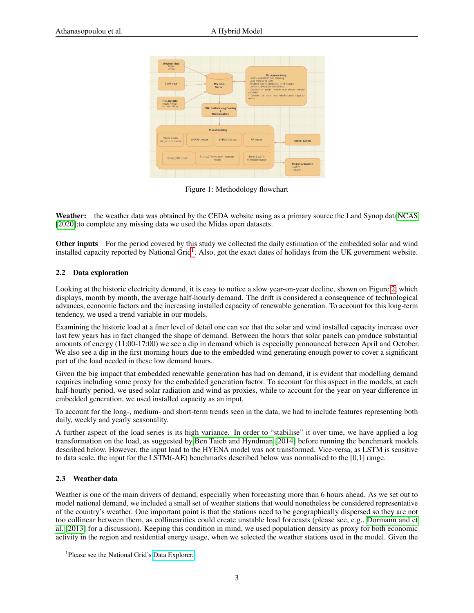| Weather data<br>Midas<br><b>Synop</b>                       |                                     |                                                                  |                                                                                                                                                                                                              | Data processing                                |  |  |
|-------------------------------------------------------------|-------------------------------------|------------------------------------------------------------------|--------------------------------------------------------------------------------------------------------------------------------------------------------------------------------------------------------------|------------------------------------------------|--|--|
| Load data<br>MS SOL<br>Server                               |                                     |                                                                  | - Load visualisation and cleaning<br>- Load from SP to GMT<br>- Weather source combining to fill in gaps<br>- Creation of weather normal files<br>- Creation of public holiday and school holiday<br>dummies |                                                |  |  |
| <b>Holiday data</b><br>- public holiday<br>- school holiday |                                     | <b>EDA, Feature engineering</b><br>$\mathbf{x}$<br>Normalisation | series                                                                                                                                                                                                       | - Creation of solar and windinstalled capacity |  |  |
|                                                             |                                     | <b>Model building</b>                                            |                                                                                                                                                                                                              |                                                |  |  |
| Vanilla Linear<br>Regression model                          | SARIMA model                        | SARIMAX model                                                    | RF model                                                                                                                                                                                                     | Model tuning                                   |  |  |
| PCA LSTM model                                              | PCA LSTM encoder - decoder<br>model |                                                                  | linear & LSTM<br>composite model                                                                                                                                                                             | Model evaluation                               |  |  |

Figure 1: Methodology flowchart

Weather: the weather data was obtained by the CEDA website using as a primary source the Land Synop dat[aNCAS](#page-7-17) [\[2020\]](#page-7-17);to complete any missing data we used the Midas open datasets.

Other inputs For the period covered by this study we collected the daily estimation of the embedded solar and wind installed capacity reported by National Grid<sup>[1](#page-2-0)</sup>. Also, got the exact dates of holidays from the UK government website.

#### 2.2 Data exploration

Looking at the historic electricity demand, it is easy to notice a slow year-on-year decline, shown on Figure [2,](#page-3-0) which displays, month by month, the average half-hourly demand. The drift is considered a consequence of technological advances, economic factors and the increasing installed capacity of renewable generation. To account for this long-term tendency, we used a trend variable in our models.

Examining the historic load at a finer level of detail one can see that the solar and wind installed capacity increase over last few years has in fact changed the shape of demand. Between the hours that solar panels can produce substantial amounts of energy (11:00-17:00) we see a dip in demand which is especially pronounced between April and October. We also see a dip in the first morning hours due to the embedded wind generating enough power to cover a significant part of the load needed in these low demand hours.

Given the big impact that embedded renewable generation has had on demand, it is evident that modelling demand requires including some proxy for the embedded generation factor. To account for this aspect in the models, at each half-hourly period, we used solar radiation and wind as proxies, while to account for the year on year difference in embedded generation, we used installed capacity as an input.

To account for the long-, medium- and short-term trends seen in the data, we had to include features representing both daily, weekly and yearly seasonality.

A further aspect of the load series is its high variance. In order to "stabilise" it over time, we have applied a log transformation on the load, as suggested by [Ben Taieb and Hyndman](#page-7-4) [\[2014\]](#page-7-4) before running the benchmark models described below. However, the input load to the HYENA model was not transformed. Vice-versa, as LSTM is sensitive to data scale, the input for the LSTM(-AE) benchmarks described below was normalised to the [0,1] range.

#### 2.3 Weather data

Weather is one of the main drivers of demand, especially when forecasting more than 6 hours ahead. As we set out to model national demand, we included a small set of weather stations that would nonetheless be considered representative of the country's weather. One important point is that the stations need to be geographically dispersed so they are not too collinear between them, as collinearities could create unstable load forecasts (please see, e.g., [Dormann and et](#page-7-18) [al.](#page-7-18) [\[2013\]](#page-7-18) for a discussion). Keeping this condition in mind, we used population density as proxy for both economic activity in the region and residential energy usage, when we selected the weather stations used in the model. Given the

<span id="page-2-0"></span><sup>&</sup>lt;sup>1</sup>Please see the National Grid's [Data Explorer.](https://demandforecast.nationalgrid.com/efs_demand_forecast/faces/DataExplorer)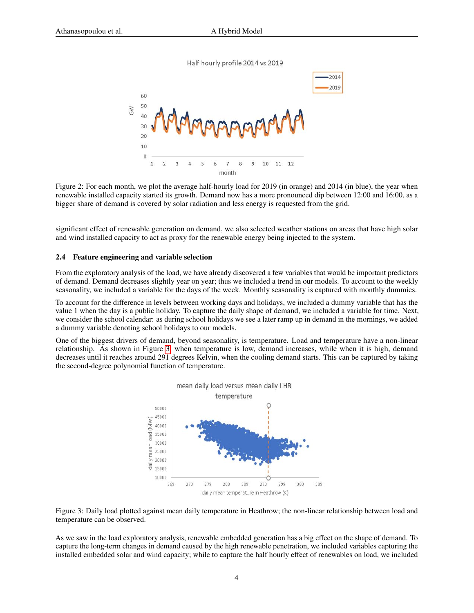Half hourly profile 2014 vs 2019



<span id="page-3-0"></span>Figure 2: For each month, we plot the average half-hourly load for 2019 (in orange) and 2014 (in blue), the year when renewable installed capacity started its growth. Demand now has a more pronounced dip between 12:00 and 16:00, as a bigger share of demand is covered by solar radiation and less energy is requested from the grid.

significant effect of renewable generation on demand, we also selected weather stations on areas that have high solar and wind installed capacity to act as proxy for the renewable energy being injected to the system.

#### 2.4 Feature engineering and variable selection

From the exploratory analysis of the load, we have already discovered a few variables that would be important predictors of demand. Demand decreases slightly year on year; thus we included a trend in our models. To account to the weekly seasonality, we included a variable for the days of the week. Monthly seasonality is captured with monthly dummies.

To account for the difference in levels between working days and holidays, we included a dummy variable that has the value 1 when the day is a public holiday. To capture the daily shape of demand, we included a variable for time. Next, we consider the school calendar: as during school holidays we see a later ramp up in demand in the mornings, we added a dummy variable denoting school holidays to our models.

One of the biggest drivers of demand, beyond seasonality, is temperature. Load and temperature have a non-linear relationship. As shown in Figure [3,](#page-3-1) when temperature is low, demand increases, while when it is high, demand decreases until it reaches around 291 degrees Kelvin, when the cooling demand starts. This can be captured by taking the second-degree polynomial function of temperature.



<span id="page-3-1"></span>Figure 3: Daily load plotted against mean daily temperature in Heathrow; the non-linear relationship between load and temperature can be observed.

As we saw in the load exploratory analysis, renewable embedded generation has a big effect on the shape of demand. To capture the long-term changes in demand caused by the high renewable penetration, we included variables capturing the installed embedded solar and wind capacity; while to capture the half hourly effect of renewables on load, we included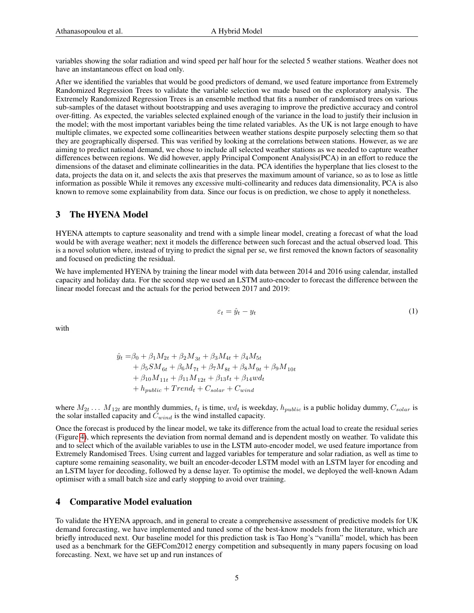variables showing the solar radiation and wind speed per half hour for the selected 5 weather stations. Weather does not have an instantaneous effect on load only.

After we identified the variables that would be good predictors of demand, we used feature importance from Extremely Randomized Regression Trees to validate the variable selection we made based on the exploratory analysis. The Extremely Randomized Regression Trees is an ensemble method that fits a number of randomised trees on various sub-samples of the dataset without bootstrapping and uses averaging to improve the predictive accuracy and control over-fitting. As expected, the variables selected explained enough of the variance in the load to justify their inclusion in the model; with the most important variables being the time related variables. As the UK is not large enough to have multiple climates, we expected some collinearities between weather stations despite purposely selecting them so that they are geographically dispersed. This was verified by looking at the correlations between stations. However, as we are aiming to predict national demand, we chose to include all selected weather stations as we needed to capture weather differences between regions. We did however, apply Principal Component Analysis(PCA) in an effort to reduce the dimensions of the dataset and eliminate collinearities in the data. PCA identifies the hyperplane that lies closest to the data, projects the data on it, and selects the axis that preserves the maximum amount of variance, so as to lose as little information as possible While it removes any excessive multi-collinearity and reduces data dimensionality, PCA is also known to remove some explainability from data. Since our focus is on prediction, we chose to apply it nonetheless.

## 3 The HYENA Model

HYENA attempts to capture seasonality and trend with a simple linear model, creating a forecast of what the load would be with average weather; next it models the difference between such forecast and the actual observed load. This is a novel solution where, instead of trying to predict the signal per se, we first removed the known factors of seasonality and focused on predicting the residual.

We have implemented HYENA by training the linear model with data between 2014 and 2016 using calendar, installed capacity and holiday data. For the second step we used an LSTM auto-encoder to forecast the difference between the linear model forecast and the actuals for the period between 2017 and 2019:

$$
\varepsilon_t = \hat{y}_t - y_t \tag{1}
$$

with

$$
\hat{y}_t = \beta_0 + \beta_1 M_{2t} + \beta_2 M_{3t} + \beta_3 M_{4t} + \beta_4 M_{5t} \n+ \beta_5 SM_{6t} + \beta_6 M_{7t} + \beta_7 M_{8t} + \beta_8 M_{9t} + \beta_9 M_{10t} \n+ \beta_{10} M_{11t} + \beta_{11} M_{12t} + \beta_{13} t_t + \beta_{14} w d_t \n+ h_{public} + Trend_t + C_{solar} + C_{wind}
$$

where  $M_{2t}$  ...  $M_{12t}$  are monthly dummies,  $t_t$  is time,  $wd_t$  is weekday,  $h_{public}$  is a public holiday dummy,  $C_{solar}$  is the solar installed capacity and  $C_{wind}$  is the wind installed capacity.

Once the forecast is produced by the linear model, we take its difference from the actual load to create the residual series (Figure [4\)](#page-5-0), which represents the deviation from normal demand and is dependent mostly on weather. To validate this and to select which of the available variables to use in the LSTM auto-encoder model, we used feature importance from Extremely Randomised Trees. Using current and lagged variables for temperature and solar radiation, as well as time to capture some remaining seasonality, we built an encoder-decoder LSTM model with an LSTM layer for encoding and an LSTM layer for decoding, followed by a dense layer. To optimise the model, we deployed the well-known Adam optimiser with a small batch size and early stopping to avoid over training.

#### 4 Comparative Model evaluation

To validate the HYENA approach, and in general to create a comprehensive assessment of predictive models for UK demand forecasting, we have implemented and tuned some of the best-know models from the literature, which are briefly introduced next. Our baseline model for this prediction task is Tao Hong's "vanilla" model, which has been used as a benchmark for the GEFCom2012 energy competition and subsequently in many papers focusing on load forecasting. Next, we have set up and run instances of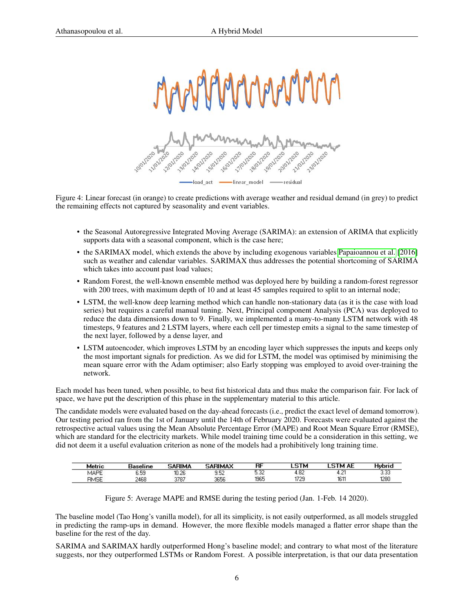

<span id="page-5-0"></span>Figure 4: Linear forecast (in orange) to create predictions with average weather and residual demand (in grey) to predict the remaining effects not captured by seasonality and event variables.

- the Seasonal Autoregressive Integrated Moving Average (SARIMA): an extension of ARIMA that explicitly supports data with a seasonal component, which is the case here;
- the SARIMAX model, which extends the above by including exogenous variables [Papaioannou et al.](#page-7-19) [\[2016\]](#page-7-19) such as weather and calendar variables. SARIMAX thus addresses the potential shortcoming of SARIMA which takes into account past load values;
- Random Forest, the well-known ensemble method was deployed here by building a random-forest regressor with 200 trees, with maximum depth of 10 and at least 45 samples required to split to an internal node;
- LSTM, the well-know deep learning method which can handle non-stationary data (as it is the case with load series) but requires a careful manual tuning. Next, Principal component Analysis (PCA) was deployed to reduce the data dimensions down to 9. Finally, we implemented a many-to-many LSTM network with 48 timesteps, 9 features and 2 LSTM layers, where each cell per timestep emits a signal to the same timestep of the next layer, followed by a dense layer, and
- LSTM autoencoder, which improves LSTM by an encoding layer which suppresses the inputs and keeps only the most important signals for prediction. As we did for LSTM, the model was optimised by minimising the mean square error with the Adam optimiser; also Early stopping was employed to avoid over-training the network.

Each model has been tuned, when possible, to best fist historical data and thus make the comparison fair. For lack of space, we have put the description of this phase in the supplementary material to this article.

The candidate models were evaluated based on the day-ahead forecasts (i.e., predict the exact level of demand tomorrow). Our testing period ran from the 1st of January until the 14th of February 2020. Forecasts were evaluated against the retrospective actual values using the Mean Absolute Percentage Error (MAPE) and Root Mean Square Error (RMSE), which are standard for the electricity markets. While model training time could be a consideration in this setting, we did not deem it a useful evaluation criterion as none of the models had a prohibitively long training time.

|                        |      | <b>RIMA</b> |      | $_{\rm{RF}}$ | в           | АĿ<br>. в |      |
|------------------------|------|-------------|------|--------------|-------------|-----------|------|
| <b>ALCOHOL</b><br>MAPE | 6.59 | 10.26       | ے ک  | u.uc         | t.UZ        | ┱. ๔.     | J.JJ |
| RMSE                   | 2468 | 3787        | 3656 | 1965         | 1729<br>ن ک | 1611      | 1280 |

Figure 5: Average MAPE and RMSE during the testing period (Jan. 1-Feb. 14 2020).

The baseline model (Tao Hong's vanilla model), for all its simplicity, is not easily outperformed, as all models struggled in predicting the ramp-ups in demand. However, the more flexible models managed a flatter error shape than the baseline for the rest of the day.

SARIMA and SARIMAX hardly outperformed Hong's baseline model; and contrary to what most of the literature suggests, nor they outperformed LSTMs or Random Forest. A possible interpretation, is that our data presentation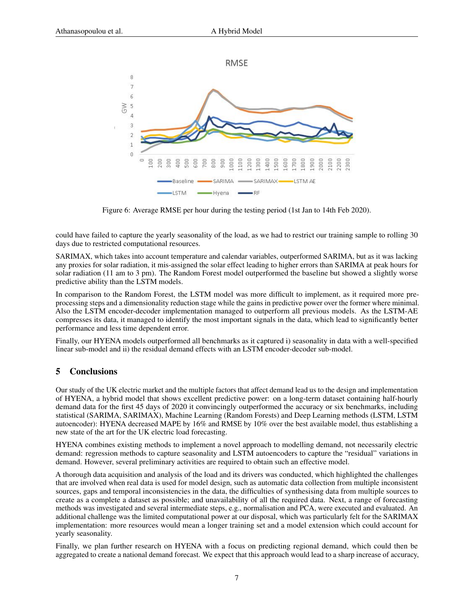

Figure 6: Average RMSE per hour during the testing period (1st Jan to 14th Feb 2020).

could have failed to capture the yearly seasonality of the load, as we had to restrict our training sample to rolling 30 days due to restricted computational resources.

SARIMAX, which takes into account temperature and calendar variables, outperformed SARIMA, but as it was lacking any proxies for solar radiation, it mis-assigned the solar effect leading to higher errors than SARIMA at peak hours for solar radiation (11 am to 3 pm). The Random Forest model outperformed the baseline but showed a slightly worse predictive ability than the LSTM models.

In comparison to the Random Forest, the LSTM model was more difficult to implement, as it required more preprocessing steps and a dimensionality reduction stage while the gains in predictive power over the former where minimal. Also the LSTM encoder-decoder implementation managed to outperform all previous models. As the LSTM-AE compresses its data, it managed to identify the most important signals in the data, which lead to significantly better performance and less time dependent error.

Finally, our HYENA models outperformed all benchmarks as it captured i) seasonality in data with a well-specified linear sub-model and ii) the residual demand effects with an LSTM encoder-decoder sub-model.

## 5 Conclusions

Our study of the UK electric market and the multiple factors that affect demand lead us to the design and implementation of HYENA, a hybrid model that shows excellent predictive power: on a long-term dataset containing half-hourly demand data for the first 45 days of 2020 it convincingly outperformed the accuracy or six benchmarks, including statistical (SARIMA, SARIMAX), Machine Learning (Random Forests) and Deep Learning methods (LSTM, LSTM autoencoder): HYENA decreased MAPE by 16% and RMSE by 10% over the best available model, thus establishing a new state of the art for the UK electric load forecasting.

HYENA combines existing methods to implement a novel approach to modelling demand, not necessarily electric demand: regression methods to capture seasonality and LSTM autoencoders to capture the "residual" variations in demand. However, several preliminary activities are required to obtain such an effective model.

A thorough data acquisition and analysis of the load and its drivers was conducted, which highlighted the challenges that are involved when real data is used for model design, such as automatic data collection from multiple inconsistent sources, gaps and temporal inconsistencies in the data, the difficulties of synthesising data from multiple sources to create as a complete a dataset as possible; and unavailability of all the required data. Next, a range of forecasting methods was investigated and several intermediate steps, e.g., normalisation and PCA, were executed and evaluated. An additional challenge was the limited computational power at our disposal, which was particularly felt for the SARIMAX implementation: more resources would mean a longer training set and a model extension which could account for yearly seasonality.

Finally, we plan further research on HYENA with a focus on predicting regional demand, which could then be aggregated to create a national demand forecast. We expect that this approach would lead to a sharp increase of accuracy,